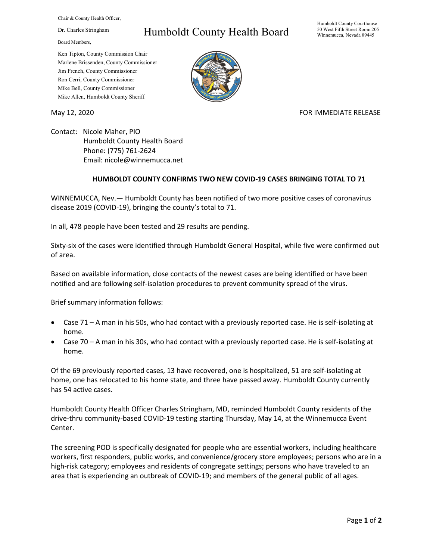Chair & County Health Officer,

Dr. Charles Stringham

Board Members,

## Humboldt County Health Board

Humboldt County Courthouse 50 West Fifth Street Room 205 Winnemucca, Nevada 89445

Ken Tipton, County Commission Chair Marlene Brissenden, County Commissioner Jim French, County Commissioner Ron Cerri, County Commissioner Mike Bell, County Commissioner Mike Allen, Humboldt County Sheriff

May 12, 2020 **FOR IMMEDIATE RELEASE** 

Contact: Nicole Maher, PIO Humboldt County Health Board Phone: (775) 761-2624 Email: nicole@winnemucca.net

## **HUMBOLDT COUNTY CONFIRMS TWO NEW COVID-19 CASES BRINGING TOTAL TO 71**

WINNEMUCCA, Nev.— Humboldt County has been notified of two more positive cases of coronavirus disease 2019 (COVID-19), bringing the county's total to 71.

In all, 478 people have been tested and 29 results are pending.

Sixty-six of the cases were identified through Humboldt General Hospital, while five were confirmed out of area.

Based on available information, close contacts of the newest cases are being identified or have been notified and are following self-isolation procedures to prevent community spread of the virus.

Brief summary information follows:

- Case 71 A man in his 50s, who had contact with a previously reported case. He is self-isolating at home.
- Case 70 A man in his 30s, who had contact with a previously reported case. He is self-isolating at home.

Of the 69 previously reported cases, 13 have recovered, one is hospitalized, 51 are self-isolating at home, one has relocated to his home state, and three have passed away. Humboldt County currently has 54 active cases.

Humboldt County Health Officer Charles Stringham, MD, reminded Humboldt County residents of the drive-thru community-based COVID-19 testing starting Thursday, May 14, at the Winnemucca Event Center.

The screening POD is specifically designated for people who are essential workers, including healthcare workers, first responders, public works, and convenience/grocery store employees; persons who are in a high-risk category; employees and residents of congregate settings; persons who have traveled to an area that is experiencing an outbreak of COVID-19; and members of the general public of all ages.